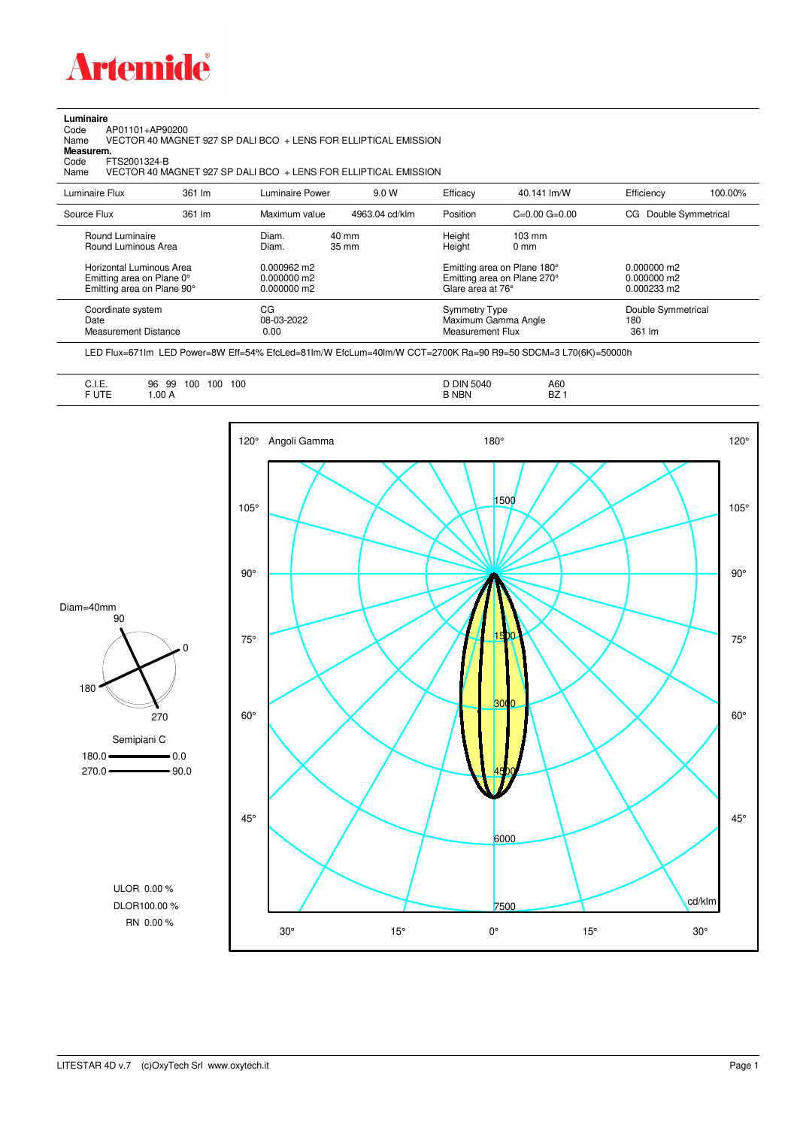

## **Luminaire**

Code AP01101+AP90200 Name VECTOR 40 MAGNET 927 SP DALI BCO + LENS FOR ELLIPTICAL EMISSION Code A<br>Name V<br>**Measurem.** 

Code FTS2001324-B<br>Name VECTOR 40 M/ VECTOR 40 MAGNET 927 SP DALI BCO + LENS FOR ELLIPTICAL EMISSION

| Luminaire Flux                                                                                                                | 361 lm | Luminaire Power                                                          | 9.0 W                    | Efficacy                                 | 40.141 lm/W                                                                                      | Efficiency                                             | 100.00% |
|-------------------------------------------------------------------------------------------------------------------------------|--------|--------------------------------------------------------------------------|--------------------------|------------------------------------------|--------------------------------------------------------------------------------------------------|--------------------------------------------------------|---------|
| Source Flux                                                                                                                   | 361 lm | Maximum value                                                            | 4963.04 cd/klm           | Position                                 | $C=0.00$ $G=0.00$                                                                                | Double Symmetrical<br>CG.                              |         |
| Round Luminaire<br>Round Luminous Area<br>Horizontal Luminous Area<br>Emitting area on Plane 0°<br>Emitting area on Plane 90° |        | Diam.<br>Diam.<br>$0.000962 \text{ m}$<br>$0.000000$ m2<br>$0.000000$ m2 | 40 mm<br>$35 \text{ mm}$ | Height<br>Height<br>Glare area at 76°    | $103 \text{ mm}$<br>$0 \text{ mm}$<br>Emitting area on Plane 180°<br>Emitting area on Plane 270° | $0.000000$ m2<br>$0.000000$ m2<br>$0.000233 \text{ m}$ |         |
| Coordinate system<br>Date<br><b>Measurement Distance</b>                                                                      |        | CG<br>08-03-2022<br>0.00                                                 |                          | <b>Symmetry Type</b><br>Measurement Flux | Maximum Gamma Angle                                                                              | Double Symmetrical<br>180<br>361 lm                    |         |

LED Flux=671lm LED Power=8W Eff=54% EfcLed=81lm/W EfcLum=40lm/W CCT=2700K Ra=90 R9=50 SDCM=3 L70(6K)=50000h